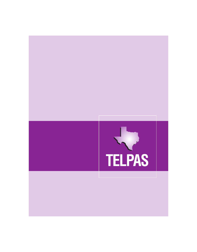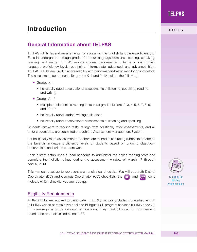# **Introduction** NOTES

## **General Information about TELPAS**

TELPAS fulfills federal requirements for assessing the English language proficiency of ELLs in kindergarten through grade 12 in four language domains: listening, speaking, reading, and writing. TELPAS reports student performance in terms of four English language proficiency levels: beginning, intermediate, advanced, and advanced high. TELPAS results are used in accountability and performance-based monitoring indicators. The assessment components for grades K–1 and 2–12 include the following:

- Grades K-1
	- holistically rated observational assessments of listening, speaking, reading, and writing
- Grades 2–12
	- multiple-choice online reading tests in six grade clusters:  $2, 3, 4-5, 6-7, 8-9,$ and 10–12
	- holistically rated student writing collections
	- holistically rated observational assessments of listening and speaking

Students' answers to reading tests, ratings from holistically rated assessments, and all other student data are submitted through the Assessment Management System.

For holistically rated assessments, teachers are trained to use rating rubrics to determine the English language proficiency levels of students based on ongoing classroom observations and written student work.

Each district establishes a local schedule to administer the online reading tests and complete the holistic ratings during the assessment window of March 17 through April 9, 2014.

This manual is set up to represent a chronological checklist. You will see both District Coordinator (DC) and Campus Coordinator (CC) checklists; the  $[DC]$  and  $[CC]$  icons indicate which checklist you are reading.

#### Eligibility Requirements

All K–12 ELLs are required to participate in TELPAS, including students classified as LEP in PEIMS whose parents have declined bilingual/ESL program services (PEIMS code C). ELLs are required to be assessed annually until they meet bilingual/ESL program exit criteria and are reclassified as non-LEP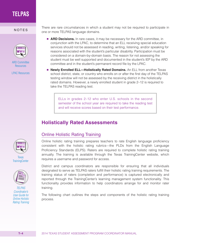

[ARD Committee](http://www.tea.state.tx.us/student.assessment/ard)  **Resources** 

[LPAC Resources](http://www.tea.state.tx.us/student.assessment/ell/lpac)

There are rare circumstances in which a student may not be required to participate in<br>
NOTES one or more TELPAS language domains.

- **ARD Decisions.** In rare cases, it may be necessary for the ARD committee, in conjunction with the LPAC, to determine that an ELL receiving special education services should not be assessed in reading, writing, listening, and/or speaking for reasons associated with the student's particular disability. Participation must be considered on a domain-by-domain basis. The reason for not assessing the student must be well supported and documented in the student's IEP by the ARD committee and in the student's permanent record file by the LPAC.
- **Newly Enrolled ELL—Holistically Rated Domains.** An ELL from another Texas school district, state, or country who enrolls on or after the first day of the TELPAS testing window will not be assessed by the receiving district in the holistically rated domains. However, a newly enrolled student in grade 2–12 is required to take the TELPAS reading test.

ELLs in grades 2–12 who enter U.S. schools in the second semester of the school year are required to take the reading test and will receive scores based on their test performance.

## **Holistically Rated Assessments**



## Online Holistic Rating Training

Online holistic rating training prepares teachers to rate English language proficiency consistent with the holistic rating rubrics—the PLDs from the English Language Proficiency Standards (ELPS). Raters are required to complete holistic rating training annually. The training is available through the Texas TrainingCenter website, which requires a username and password for access.

District and campus coordinators are responsible for ensuring that all individuals designated to serve as TELPAS raters fulfill their holistic rating training requirements. The training status of raters (completion and performance) is captured electronically and reported through the TrainingCenter's learning management system functionality. This functionality provides information to help coordinators arrange for and monitor rater training.

The following chart outlines the steps and components of the holistic rating training process.



**Texas [TrainingCenter](http://www.TexasAssessment.com/TexasTrainingCenter)** 



*TELPAS Coordinator's User Guide for [Online Holistic](http://www.tea.state.tx.us/student.assessment/manuals/dccm)  Rating Training*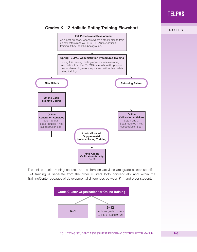## **Grades K–12 Holistic Rating Training Flowchart**



The online basic training courses and calibration activities are grade-cluster specific. K–1 training is separate from the other clusters both conceptually and within the TrainingCenter because of developmental differences between K–1 and older students.

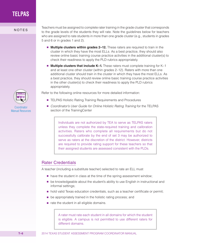

Teachers must be assigned to complete rater training in the grade cluster that corresponds<br>
NOTES to the grade levels of the students they will rate. Note the guidelines below for teachers who are assigned to rate students in more than one grade cluster (e.g., students in grades 5 and 6 or in grades 1 and 2).

- **Multiple clusters within grades 2–12.** These raters are required to train in the cluster in which they have the most ELLs. As a best practice, they should also review online basic training course practice activities in the additional cluster(s) to check their readiness to apply the PLD rubrics appropriately.
- **Multiple clusters that include K–1.** These raters must complete training for K–1 and at least one other cluster (within grades 2–12). Raters with more than one additional cluster should train in the cluster in which they have the most ELLs. As a best practice, they should review online basic training course practice activities in the other cluster(s) to check their readiness to apply the PLD rubrics appropriately.

Refer to the following online resources for more detailed information:

- TELPAS Holistic Rating Training Requirements and Procedures
- *Coordinator's User Guide for Online Holistic Rating Training* for the TELPAS section of the TrainingCenter

Individuals are not authorized by TEA to serve as TELPAS raters unless they complete the state-required training and calibration activities. Raters who complete all requirements but do not successfully calibrate by the end of set 3 may be authorized to serve as raters at the discretion of the district. However, districts are required to provide rating support for these teachers so that their assigned students are assessed consistent with the PLDs.

#### Rater Credentials

A teacher (including a substitute teacher) selected to rate an ELL must

- have the student in class at the time of the spring assessment window;
- be knowledgeable about the student's ability to use English in instructional and informal settings;
- hold valid Texas education credentials, such as a teacher certificate or permit;
- be appropriately trained in the holistic rating process; and
- rate the student in all eligible domains.

A rater must rate each student in all domains for which the student is eligible. A campus is not permitted to use different raters for different domains.



**Coordinator** [Manual Resources](http://www.tea.state.tx.us/student.assessment/manuals/dccm)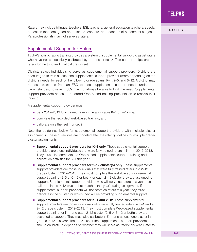Raters may include bilingual teachers, ESL teachers, general education teachers, special<br>NOTES education teachers, gifted and talented teachers, and teachers of enrichment subjects. Paraprofessionals may not serve as raters.

## Supplemental Support for Raters

TELPAS holistic rating training provides a system of supplemental support to assist raters who have not successfully calibrated by the end of set 2. This support helps prepare raters for the third and final calibration set.

Districts select individuals to serve as supplemental support providers. Districts are encouraged to train at least one supplemental support provider (more depending on the district's needs) for each of the following grade spans: K–1, 2–5, and 6–12. A district may request assistance from an ESC to meet supplemental support needs under rare circumstances; however, ESCs may not always be able to fulfill the need. Supplemental support providers access a recorded Web-based training presentation to receive their training.

A supplemental support provider must

- be a 2012–2013 fully trained rater in the applicable K–1 or 2–12 span,
- complete the recorded Web-based training, and
- calibrate on either set 1 or set 2.

Note the guidelines below for supplemental support providers with multiple cluster assignments. These guidelines are modeled after the rater guidelines for multiple gradecluster assignments.

- **Supplemental support providers for K–1 only.** These supplemental support providers are those individuals that were fully trained raters in K–1 in 2012–2013. They must also complete the Web-based supplemental support training and calibration activities for K–1 this year.
- **Supplemental support providers for 2–12 cluster(s) only.** These supplemental support providers are those individuals that were fully trained raters in a 2–12 grade cluster in 2012–2013. They must complete the Web-based supplemental support training (2–5 or 6–12 or both) for each 2–12 cluster they are assigned to support. Supplemental support providers who will serve as raters this year must calibrate in the 2–12 cluster that matches this year's rating assignment. If supplemental support providers will not serve as raters this year, they must calibrate in the cluster for which they will be providing supplemental support.
- **Supplemental support providers for K–1 and 2–12.** These supplemental support providers are those individuals who were fully trained raters in K–1 and a 2–12 grade cluster in 2012–2013. They must complete Web-based supplemental support training for K–1 and each 2–12 cluster (2–5 or 6–12 or both) they are assigned to support. They must also calibrate in K–1 and at least one cluster in grades 2–12 this year. The 2–12 cluster that supplemental support providers should calibrate in depends on whether they will serve as raters this year. Refer to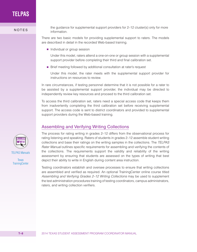the guidance for supplemental support providers for 2–12 cluster(s) only for more<br>NOTES information.

> There are two basic models for providing supplemental support to raters. The models are described in detail in the recorded Web-based training.

■ Individual or group session

Under this model, raters attend a one-on-one or group session with a supplemental support provider before completing their third and final calibration set.

■ Brief meeting followed by additional consultation at rater's request

Under this model, the rater meets with the supplemental support provider for instructions on resources to review.

In rare circumstances, if testing personnel determine that it is not possible for a rater to be assisted by a supplemental support provider, the individual may be directed to independently review key resources and proceed to the third calibration set.

To access the third calibration set, raters need a special access code that keeps them from inadvertently completing the third calibration set before receiving supplemental support. The access code is sent to district coordinators and provided to supplemental support providers during the Web-based training.

### Assembling and Verifying Writing Collections

The process for rating writing in grades 2–12 differs from the observational process for rating listening and speaking. Raters of students in grades 2–12 assemble student writing collections and base their ratings on the writing samples in the collections. The *TELPAS Rater Manual* outlines specific requirements for assembling and verifying the contents of the collections. The requirements support the validity and reliability of the writing assessment by ensuring that students are assessed on the types of writing that best depict their ability to write in English during content area instruction.

Testing coordinators establish and oversee processes to ensure that writing collections are assembled and verified as required. An optional TrainingCenter online course titled *Assembling and Verifying Grades 2–12 Writing Collections* may be used to supplement the test administration procedures training of testing coordinators, campus administrators, raters, and writing collection verifiers.



**Texas [TrainingCenter](http://www.TexasAssessment.com/TexasTrainingCenter)**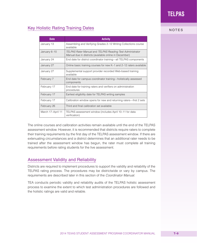# Key Holistic Rating Training Dates **Key Holistic Rating Training Dates NOTES**

| <b>Date</b>       | <b>Activity</b>                                                                                                     |
|-------------------|---------------------------------------------------------------------------------------------------------------------|
| January 13        | Assembling and Verifying Grades 2–12 Writing Collections course<br>available                                        |
| January 6-10      | TELPAS Rater Manual and TELPAS Reading Test Administrator<br>Manual due in districts (available online in December) |
| January 24        | End date for district coordinator training—all TELPAS components                                                    |
| January 27        | Online basic training courses for new K-1 and 2-12 raters available                                                 |
| January 27        | Supplemental support provider recorded Web-based training<br>available                                              |
| February 7        | End date for campus coordinator training—holistically assessed<br>components                                        |
| February 17       | End date for training raters and verifiers on administration<br>procedures                                          |
| February 17       | Earliest eligibility date for TELPAS writing samples                                                                |
| February 17       | Calibration window opens for new and returning raters—first 2 sets                                                  |
| February 26       | Third and final calibration set available                                                                           |
| March 17-April 11 | TELPAS assessment window (includes April 10-11 for data<br>verification)                                            |

**TELPAS**

The online courses and calibration activities remain available until the end of the TELPAS assessment window. However, it is recommended that districts require raters to complete their training requirements by the first day of the TELPAS assessment window. If there are extenuating circumstances and a district determines that an additional rater needs to be trained after the assessment window has begun, the rater must complete all training requirements before rating students for the live assessment.

### Assessment Validity and Reliability

Districts are required to implement procedures to support the validity and reliability of the TELPAS rating process. The procedures may be districtwide or vary by campus. The requirements are described later in this section of the *Coordinator Manual*.

TEA conducts periodic validity and reliability audits of the TELPAS holistic assessment process to examine the extent to which test administration procedures are followed and the holistic ratings are valid and reliable.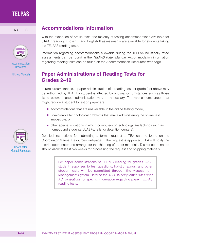

[Accommodation](http://www.tea.state.tx.us/student.assessment/accommodations)  **Resources** 

**[TELPAS Manuals](http://www.tea.state.tx.us/student.assessment/ell/telpas/manuals)** 



**Coordinator** [Manual Resources](http://www.tea.state.tx.us/student.assessment/manuals/dccm)

## NOTES **Accommodations Information**

With the exception of braille tests, the majority of testing accommodations available for STAAR reading, English I, and English II assessments are available for students taking the TELPAS reading tests.

Information regarding accommodations allowable during the TELPAS holistically rated assessments can be found in the *TELPAS Rater Manual.* Accommodation information regarding reading tests can be found on the Accommodation Resources webpage.

## **Paper Administrations of Reading Tests for Grades 2–12**

In rare circumstances, a paper administration of a reading test for grade 2 or above may be authorized by TEA. If a student is affected by unusual circumstances such as those listed below, a paper administration may be necessary. The rare circumstances that might require a student to test on paper are

- accommodations that are unavailable in the online testing mode,
- unavoidable technological problems that make administering the online test impossible, or
- other special situations in which computers or technology are lacking (such as homebound students, JJAEPs, jails, or detention centers).

Detailed instructions for submitting a formal request to TEA can be found on the Coordinator Manual Resources webpage. If the request is approved, TEA will notify the district coordinator and arrange for the shipping of paper materials. District coordinators should allow at least two weeks for processing the request and shipping materials.

> For paper administrations of TELPAS reading for grades 2–12, student responses to test questions, holistic ratings, and other student data will be submitted through the Assessment Management System. Refer to the *TELPAS Supplement for Paper Administrations* for specific information regarding paper TELPAS reading tests.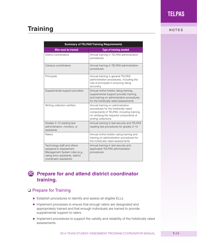# **Training** NOTES

| <b>Summary of TELPAS Training Requirements</b>                                                                                                          |                                                                                                                                                                                          |  |
|---------------------------------------------------------------------------------------------------------------------------------------------------------|------------------------------------------------------------------------------------------------------------------------------------------------------------------------------------------|--|
| Who must be trained                                                                                                                                     | <b>Type of training needed</b>                                                                                                                                                           |  |
| District coordinators                                                                                                                                   | Annual training in TELPAS administration<br>procedures                                                                                                                                   |  |
| Campus coordinators                                                                                                                                     | Annual training in TELPAS administration<br>procedures                                                                                                                                   |  |
| Principals                                                                                                                                              | Annual training in general TELPAS<br>administration procedures, including the<br>role of principals in ensuring rating<br>accuracy                                                       |  |
| Supplemental support providers                                                                                                                          | Annual online holistic rating training,<br>supplemental support provider training,<br>and training on administration procedures<br>for the holistically rated assessments                |  |
| Writing collection verifiers                                                                                                                            | Annual training on administration<br>procedures for the holistically rated<br>components of TELPAS, including training<br>on verifying the required components of<br>writing collections |  |
| Grades 2-12 reading test<br>administrators, monitors, or<br>assistants                                                                                  | Annual training in test security and TELPAS<br>reading test procedures for grades 2-12                                                                                                   |  |
| Raters                                                                                                                                                  | Annual online holistic rating training and<br>training on administration procedures for<br>the holistically rated assessments                                                            |  |
| Technology staff and others<br>assigned to Assessment<br>Management System roles (e.g.,<br>rating entry assistants, district<br>coordinator assistants) | Annual training in test security and<br>applicable TELPAS administration<br>procedures                                                                                                   |  |

# **Prepare for and attend district coordinator training.**

## ❏ Prepare for Training

- Establish procedures to identify and assess all eligible ELLs.
- Implement processes to ensure that enough raters are designated and appropriately trained and that enough individuals are trained to provide supplemental support to raters.
- Implement procedures to support the validity and reliability of the holistically rated assessments.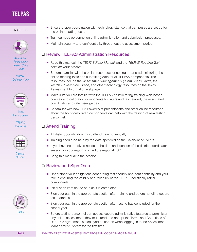#### NOTES



*Assessment Management [System User's](http://www.TexasAssessment.com/guide)  Guide* 

*TestNav 7 [Technical Guide](http://www.TexasAssessment.com/techinfo)*



Texas **[TrainingCenter](http://www.TexasAssessment.com/TexasTrainingCenter)** 

> TELPAS **[Resources](http://www.tea.state.tx.us/student.assessment/ell/telpas)**



**Calendar** of Events



- Ensure proper coordination with technology staff so that campuses are set up for the online reading tests.
- Train campus personnel on online administration and submission processes.
- Maintain security and confidentiality throughout the assessment period.

### **□ Review TELPAS Administration Resources**

- Read this manual, the *TELPAS Rater Manual*, and the *TELPAS Reading Test Administrator Manual.*
- Become familiar with the online resources for setting up and administering the online reading tests and submitting data for all TELPAS components. The resources include the *Assessment Management System User's Guide*, the *TestNav 7 Technical Guide*, and other technology resources on the Texas Assessment Information webpage.
- Make sure you are familiar with the TELPAS holistic rating training Web-based courses and calibration components for raters and, as needed, the associated coordinator and rater user guides.
- Be familiar with how TEA PowerPoint presentations and other online resources about the holistically rated components can help with the training of new testing personnel.

#### **□** Attend Training

- All district coordinators must attend training annually.
- Training should be held by the date specified on the Calendar of Events.
- If you have not received notice of the date and location of the district coordinator session for your region, contact the regional ESC.
- Bring this manual to the session.

## **□ Review and Sign Oath**

- Understand your obligations concerning test security and confidentiality and your role in ensuring the validity and reliability of the TELPAS holistically rated components.
- Initial each item on the oath as it is completed.
- Sign your oath in the appropriate section after training and before handling secure test materials.
- Sign your oath in the appropriate section after testing has concluded for the school year.
- Before testing personnel can access secure administrative features to administer any online assessment, they must read and accept the Terms and Conditions of Use. This agreement is displayed on screen when logging in to the Assessment Management System for the first time.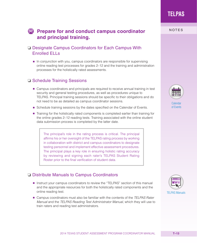# **DC** Prepare for and conduct campus coordinator **NOTES and principal training.**

## ❏ Designate Campus Coordinators for Each Campus With Enrolled ELLs

■ In conjunction with you, campus coordinators are responsible for supervising online reading test processes for grades 2–12 and the training and administration processes for the holistically rated assessments.

### ❏ Schedule Training Sessions

- Campus coordinators and principals are required to receive annual training in test security and general testing procedures, as well as procedures unique to TELPAS. Principal training sessions should be specific to their obligations and do not need to be as detailed as campus coordinator sessions.
- Schedule training sessions by the dates specified on the Calendar of Events.
- Training for the holistically rated components is completed earlier than training for the online grades 2–12 reading tests. Training associated with the online student data submission process is completed by the latter date.

The principal's role in the rating process is critical. The principal affirms his or her oversight of the TELPAS rating process by working in collaboration with district and campus coordinators to designate testing personnel and implement effective assessment procedures. The principal plays a key role in ensuring holistic rating accuracy by reviewing and signing each rater's TELPAS Student Rating Roster prior to the final verification of student data.

## ❏ Distribute Manuals to Campus Coordinators

- Instruct your campus coordinators to review the "TELPAS" section of this manual and the appropriate resources for both the holistically rated components and the online reading test.
- Campus coordinators must also be familiar with the contents of the *TELPAS Rater Manual* and the *TELPAS Reading Test Administrator Manual,* which they will use to train raters and reading test administrators.



[Calendar](http://www.tea.state.tx.us/student.assessment/manuals/dccm)  of Events

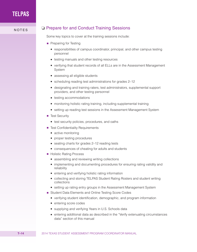## NOTES Q Prepare for and Conduct Training Sessions

Some key topics to cover at the training sessions include:

- Preparing for Testing
	- responsibilities of campus coordinator, principal, and other campus testing personnel
	- testing manuals and other testing resources
	- verifying that student records of all ELLs are in the Assessment Management System
	- assessing all eligible students
	- scheduling reading test administrations for grades  $2-12$
	- designating and training raters, test administrators, supplemental support providers, and other testing personnel
	- testing accommodations
	- monitoring holistic rating training, including supplemental training
	- setting up reading test sessions in the Assessment Management System
- Test Security
	- test security policies, procedures, and oaths
- Test Confidentiality Requirements
	- active monitoring
	- proper testing procedures
	- $\bullet$  seating charts for grades 2–12 reading tests
	- consequences of cheating for adults and students
- Holistic Rating Process
	- assembling and reviewing writing collections
	- implementing and documenting procedures for ensuring rating validity and reliability
	- entering and verifying holistic rating information
	- collecting and storing TELPAS Student Rating Rosters and student writing collections
	- setting up rating entry groups in the Assessment Management System
- Student Data Elements and Online Testing Score Codes
	- verifying student identification, demographic, and program information
	- entering score codes
	- supplying and verifying Years in U.S. Schools data
	- entering additional data as described in the "Verify extenuating circumstances" data" section of this manual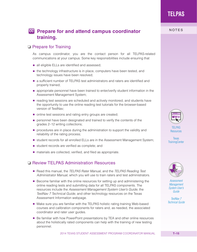## **CC** Prepare for and attend campus coordinator **NOTES training.**

#### ❏ Prepare for Training

As campus coordinator, you are the contact person for all TELPAS-related communications at your campus. Some key responsibilities include ensuring that

- all eligible ELLs are identified and assessed;
- the technology infrastructure is in place, computers have been tested, and technology issues have been resolved;
- a sufficient number of TELPAS test administrators and raters are identified and properly trained;
- appropriate personnel have been trained to enter/verify student information in the Assessment Management System;
- reading test sessions are scheduled and actively monitored, and students have the opportunity to use the online reading test tutorials for the browser-based version of TestNav;
- online test sessions and rating entry groups are created;
- personnel have been designated and trained to verify the contents of the grades 2–12 writing collections;
- procedures are in place during the administration to support the validity and reliability of the rating process;
- student records for all enrolled ELLs are in the Assessment Management System;
- student records are verified as complete; and
- materials are collected, verified, and filed as appropriate.

#### ❏ Review TELPAS Administration Resources

- Read this manual, the *TELPAS Rater Manual*, and the *TELPAS Reading Test Administrator Manual*, which you will use to train raters and test administrators.
- Become familiar with the online resources for setting up and administering the online reading tests and submitting data for all TELPAS components. The resources include the *Assessment Management System User's Guide*, the *TestNav 7 Technical Guide*, and other technology resources on the Texas Assessment Information webpage.
- Make sure you are familiar with the TELPAS holistic rating training Web-based courses and calibration components for raters and, as needed, the associated coordinator and rater user guides.
- Be familiar with how PowerPoint presentations by TEA and other online resources about the holistically rated components can help with the training of new testing personnel.



TELPAS **[Resources](http://www.tea.state.tx.us/student.assessment/ell/telpas)** 

**Texas [TrainingCenter](http://www.TexasAssessment.com/TexasTrainingCenter)** 



*Assessment Management [System User's](http://www.TexasAssessment.com/guide)  Guide* 

*TestNav 7 [Technical Guide](http://www.TexasAssessment.com/techinfo)*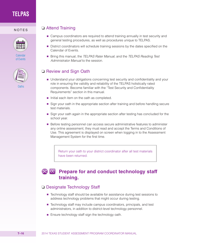

[Calendar](http://www.tea.state.tx.us/student.assessment/manuals/dccm)  of Events



NOTES <del>□</del> Attend Training

- Campus coordinators are required to attend training annually in test security and general testing procedures, as well as procedures unique to TELPAS.
- District coordinators will schedule training sessions by the dates specified on the Calendar of Events.
- Bring this manual, the *TELPAS Rater Manual*, and the *TELPAS Reading Test Administrator Manual* to the session.

### ❏ Review and Sign Oath

- Understand your obligations concerning test security and confidentiality and your role in ensuring the validity and reliability of the TELPAS holistically rated components. Become familiar with the "Test Security and Confidentiality Requirements" section in this manual.
- Initial each item on the oath as completed.
- Sign your oath in the appropriate section after training and before handling secure test materials.
- Sign your oath again in the appropriate section after testing has concluded for the school year.
- Before testing personnel can access secure administrative features to administer any online assessment, they must read and accept the Terms and Conditions of Use. This agreement is displayed on screen when logging in to the Assessment Management System for the first time.

Return your oath to your district coordinator after all test materials have been returned.

#### **Prepare for and conduct technology staff**  DC CC **training.**

#### ❏ Designate Technology Staff

- Technology staff should be available for assistance during test sessions to address technology problems that might occur during testing.
- Technology staff may include campus coordinators, principals, and test administrators, in addition to district-level technology personnel.
- Ensure technology staff sign the technology oath.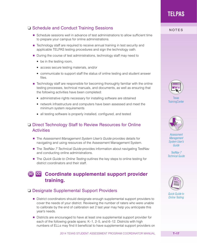## □ Schedule and Conduct Training Sessions NOTES

- Schedule sessions well in advance of test administrations to allow sufficient time to prepare your campus for online administrations.
- Technology staff are required to receive annual training in test security and applicable TELPAS testing procedures and sign the technology oath.
- During the course of test administrations, technology staff may need to
	- be in the testing room,
	- access secure testing materials, and/or
	- communicate to support staff the status of online testing and student answer files.
- Technology staff are responsible for becoming thoroughly familiar with the online testing processes, technical manuals, and documents, as well as ensuring that the following activities have been completed:
	- administrative rights necessary for installing software are obtained
	- network infrastructure and computers have been assessed and meet the minimum system requirements
	- all testing software is properly installed, configured, and tested

### ❏ Direct Technology Staff to Review Resources for Online **Activities**

- The *Assessment Management System User's Guide* provides details for navigating and using resources of the Assessment Management System.
- The *TestNav 7 Technical Guide* provides information about navigating TestNav and conducting online administrations.
- The *Quick Guide to Online Testing* outlines the key steps to online testing for district coordinators and their staff.

#### DC CC **Coordinate supplemental support provider training.**

## ❏ Designate Supplemental Support Providers

- District coordinators should designate enough supplemental support providers to cover the needs of your district. Reviewing the number of raters who were unable to calibrate by the end of calibration set 2 last year may help you anticipate this year's needs.
- Districts are encouraged to have at least one supplemental support provider for each of the following grade spans: K–1, 2–5, and 6–12. Districts with high numbers of ELLs may find it beneficial to have supplemental support providers on



Texas **[TrainingCenter](http://www.TexasAssessment.com/TexasTrainingCenter)** 



*Assessment Management [System User's](http://www.TexasAssessment.com/guide)  Guide*

*TestNav 7 [Technical Guide](http://www.TexasAssessment.com/techinfo)*



*[Quick Guide to](http://www.tea.state.tx.us/student.assessment/manuals/dccm)  Online Testing*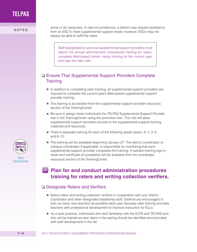

some or all campuses. In rare circumstances, a district may request assistance<br>
NOTES from an ESC to meet supplemental support needs; however, ESCs may not always be able to fulfill the need.

> Staff designated to serve as supplemental support providers must attend the annual administration procedures training for raters, complete Web-based holistic rating training for the current year, and sign the rater oath.

## ❏ Ensure That Supplemental Support Providers Complete **Training**

- In addition to completing rater training, all supplemental support providers are required to complete the current year's Web-based supplemental support provider training.
- The training is accessible from the supplemental support provider resources section of the TrainingCenter.
- Be sure to assign these individuals the TELPAS Supplemental Support Provider role in the TrainingCenter using the promotion tool. This role will allow supplemental support providers access to the supplemental support training materials and resources.
- There is separate training for each of the following grade spans: K-1, 2-5, and 6–12.
- The training will be available beginning January 27. The district coordinator, or campus coordinator if applicable, is responsible for monitoring that each supplemental support provider completes the training. A sample training sign-in sheet and certificate of completion will be available from the coordinator resources section of the TrainingCenter.

## **Plan for and conduct administration procedures training for raters and writing collection verifiers.**

#### ❏ Designate Raters and Verifiers

- Select raters and writing collection verifiers in cooperation with your district coordinator and other designated leadership staff. Districts are encouraged to train as many new teachers as possible each year because rater training provides teachers with professional development to improve instruction for ELLs.
- As a best practice, individuals who lack familiarity with the ELPS and TELPAS and who will be trained as new raters in the spring should be identified and provided with staff development in the fall.

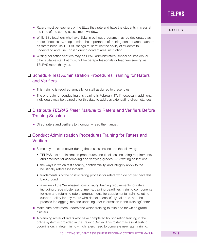2014 TEXAS STUDENT ASSESSMENT PROGRAM COORDINATOR MANUAL **T–19**

- Raters must be teachers of the ELLs they rate and have the students in class at the time of the spring assessment window.
- While ESL teachers who have ELLs in pull-out programs may be designated as raters if necessary, keep in mind the importance of training content-area teachers as raters because TELPAS ratings must reflect the ability of students to understand and use English during content area instruction.
- Writing collection verifiers may be LPAC administrators, school counselors, or other suitable staff but must not be paraprofessionals or teachers serving as TELPAS raters this year.

### ❏ Schedule Test Administration Procedures Training for Raters and Verifiers

- This training is required annually for staff assigned to these roles.
- The end date for conducting this training is February 17. If necessary, additional individuals may be trained after this date to address extenuating circumstances.

### ❏ Distribute *TELPAS Rater Manual* to Raters and Verifiers Before Training Session

■ Direct raters and verifiers to thoroughly read the manual.

## ❏ Conduct Administration Procedures Training for Raters and Verifiers

- Some key topics to cover during these sessions include the following:
	- TELPAS test administration procedures and timelines, including requirements and timelines for assembling and verifying grades 2–12 writing collections
	- the ways in which test security, confidentiality, and integrity apply to the holistically rated assessments
	- fundamentals of the holistic rating process for raters who do not yet have this background
	- a review of the Web-based holistic rating training requirements for raters, including grade cluster assignments, training deadlines, training components for new and returning raters, arrangements for supplemental training, rating support policy for any raters who do not successfully calibrate, and the process for logging into and updating user information in the TrainingCenter
- Make sure new raters understand which training to take and for which grade clusters.
- A planning roster of raters who have completed holistic rating training in the online system is provided in the TrainingCenter. This roster may assist testing coordinators in determining which raters need to complete new rater training.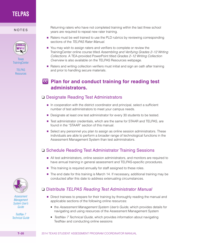

**Texas [TrainingCenter](http://www.TexasAssessment.com/TexasTrainingCenter)** 

> TELPAS [Resources](http://www.tea.state.tx.us/student.assessment/ell/telpas)

Returning raters who have not completed training within the last three school<br>NOTES years are required to repeat new rater training.

- Raters must be well trained to use the PLD rubrics by reviewing corresponding sections of the *TELPAS Rater Manual*.
- You may wish to assign raters and verifiers to complete or review the TrainingCenter online course titled *Assembling and Verifying Grades 2–12 Writing Collections*. A TEA-provided PowerPoint titled *Grades 2–12 Writing Collection Overview* is also available on the TELPAS Resources webpage.
- Raters and writing collection verifiers must initial and sign an oath after training and prior to handling secure materials.

## **Plan for and conduct training for reading test administrators.**

### ❏ Designate Reading Test Administrators

- In cooperation with the district coordinator and principal, select a sufficient number of test administrators to meet your campus needs.
- Designate at least one test administrator for every 30 students to be tested.
- Test administrator credentials, which are the same for STAAR and TELPAS, are found in the "STAAR" section of this manual.
- Select any personnel you plan to assign as online session administrators. These individuals are able to perform a broader range of technological functions in the Assessment Management System than test administrators.

## ❏ Schedule Reading Test Administrator Training Sessions

- All test administrators, online session administrators, and monitors are required to have annual training in general assessment and TELPAS-specific procedures.
- This training is required annually for staff assigned to these roles.
- The end date for this training is March 14. If necessary, additional training may be conducted after this date to address extenuating circumstances.

## ❏ Distribute *TELPAS Reading Test Administrator Manual*

- Direct trainees to prepare for their training by thoroughly reading the manual and applicable sections of the following online resources:
	- the *Assessment Management System User's Guide*, which provides details for navigating and using resources of the Assessment Management System
	- *TestNav 7 Technical Guide*, which provides information about navigating TestNav and conducting online sessions



*Assessment Management [System User's](http://www.TexasAssessment.com/guide)  Guide*

*TestNav 7 [Technical Guide](http://www.TexasAssessment.com/techinfo)*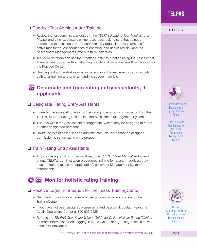## □ Conduct Test Administrator Training NOTES

- Review the test administrator duties in the *TELPAS Reading Test Administrator Manual* and other applicable online resources, making sure that trainees understand the test security and confidentiality regulations, requirements for active monitoring, consequences of cheating, and use of TestNav and the Assessment Management System to fulfill their roles.
- Test administrators can use the Practice Center to practice using the Assessment Management System without affecting real data. A separate user ID is required for the Practice Center.
- Reading test administrators must initial and sign the test administrator security oath after training and prior to handling secure materials.

## **CC** Designate and train rating entry assistants, if **applicable.**

#### ❏ Designate Rating Entry Assistants

- If needed, assign staff to assist with entering holistic rating information from the TELPAS Student Rating Rosters into the Assessment Management System.
- This role within the Assessment Management System may be assigned to raters or other designated personnel.
- Unlike the role of online session administrator, this role cannot be assigned permission to set up rating entry groups.

#### ❏ Train Rating Entry Assistants

■ Any staff assigned to this role must read the *TELPAS Rater Manual* and attend annual TELPAS administration procedures training for raters. In addition, they must be trained to use the applicable Assessment Management System components.

## **Monitor holistic rating training.**

#### ❏ Receive Login Information for the Texas TrainingCenter

- New district coordinators receive a user account email notification for the TrainingCenter.
- If you have not been assigned a username and password, contact Pearson's Austin Operations Center at 800-627-0225.
- Refer to the *TELPAS Coordinator's User Guide for Online Holistic Rating Training* for more information about logging in to the system and granting administrative access to individuals.

**TELPAS**



[Texas Assessment](http://www.TexasAssessment.com/practice)  **Management** System Practice **Center** 

User Roles and [Permissions for](http://www.TexasAssessment.com/roles)  the Texas Assessment **Management System** 



TELPAS [Coordinator's User](http://www.tea.state.tx.us/student.assessment/manuals/dccm)  Guide for Online Holistic Rating **Training**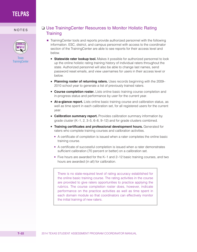

Texas **[TrainingCenter](http://www.TexasAssessment.com/TexasTrainingCenter)** 

### NOTES <del>□</del> Use TrainingCenter Resources to Monitor Holistic Rating **Training**

- TrainingCenter tools and reports provide authorized personnel with the following information. ESC, district, and campus personnel with access to the coordinator section of the TrainingCenter are able to see reports for their access level and below.
	- **Statewide rater lookup tool.** Makes it possible for authorized personnel to look up the online holistic rating training history of individual raters throughout the state. Authorized personnel will also be able to change last names, send password reset emails, and view usernames for users in their access level or below.
	- **Planning roster of returning raters.** Uses records beginning with the 2009– 2010 school year to generate a list of previously trained raters.
	- **Course completion roster.** Lists online basic training course completion and in-progress status and performance by user for the current year.
	- **At-a-glance report.** Lists online basic training course and calibration status, as well as time spent in each calibration set, for all registered users for the current year.
	- **Calibration summary report.** Provides calibration summary information by grade cluster (K–1, 2, 3–5, 6–8, 9–12) and for grade clusters combined.
	- **Training certificates and professional development hours.** Generated for raters who complete training courses and calibration activities.
		- A certificate of completion is issued when a rater completes the online basic training course.
		- A certificate of successful completion is issued when a rater demonstrates sufficient calibration (70 percent or better) on a calibration set.
		- Five hours are awarded for the K–1 and 2–12 basic training courses, and two hours are awarded (in all) for calibration.

There is no state-required level of rating accuracy established for the online basic training course. The rating activities in the course are provided to give raters opportunities to practice applying the rubrics. The course completion roster does, however, indicate performance on the practice activities as well as time spent in each domain module so that coordinators can effectively monitor the initial training of new raters.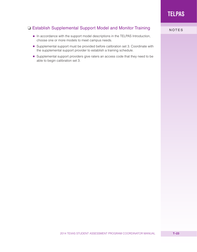## □ Establish Supplemental Support Model and Monitor Training<br>NOTES

- In accordance with the support model descriptions in the TELPAS Introduction, choose one or more models to meet campus needs.
- Supplemental support must be provided before calibration set 3. Coordinate with the supplemental support provider to establish a training schedule.
- Supplemental support providers give raters an access code that they need to be able to begin calibration set 3.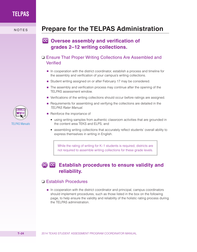# NOTES **Prepare for the TELPAS Administration**

## **CC** Oversee assembly and verification of **grades 2–12 writing collections.**

### ❏ Ensure That Proper Writing Collections Are Assembled and Verified

- In cooperation with the district coordinator, establish a process and timeline for the assembly and verification of your campus's writing collections.
- Student writing assigned on or after February 17 may be considered.
- The assembly and verification process may continue after the opening of the TELPAS assessment window.
- Verifications of the writing collections should occur before ratings are assigned.
- Requirements for assembling and verifying the collections are detailed in the *TELPAS Rater Manual.*
- Reinforce the importance of
	- using writing samples from authentic classroom activities that are grounded in the content area TEKS and ELPS, and
	- assembling writing collections that accurately reflect students' overall ability to express themselves in writing in English.

While the rating of writing for K–1 students is required, districts are not required to assemble writing collections for these grade levels.

# **EG** Establish procedures to ensure validity and **reliability.**

### ❏ Establish Procedures

■ In cooperation with the district coordinator and principal, campus coordinators should implement procedures, such as those listed in the box on the following page, to help ensure the validity and reliability of the holistic rating process during the TELPAS administration.

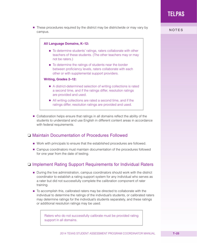2014 TEXAS STUDENT ASSESSMENT PROGRAM COORDINATOR MANUAL **T–25**

■ These procedures required by the district may be districtwide or may vary by campus.



■ Collaboration helps ensure that ratings in all domains reflect the ability of the students to understand and use English in different content areas in accordance with federal requirements.

### ❏ Maintain Documentation of Procedures Followed

- Work with principals to ensure that the established procedures are followed.
- Campus coordinators must maintain documentation of the procedures followed for one year from the date of testing.

## ❏ Implement Rating Support Requirements for Individual Raters

- During the live administration, campus coordinators should work with the district coordinator to establish a rating support system for any individual who serves as a rater but did not successfully complete the calibration component of rater training.
- To accomplish this, calibrated raters may be directed to collaborate with the individual to determine the ratings of the individual's students, or calibrated raters may determine ratings for the individual's students separately, and these ratings or additional resolution ratings may be used.

Raters who do not successfully calibrate must be provided rating support in all domains.

NOTES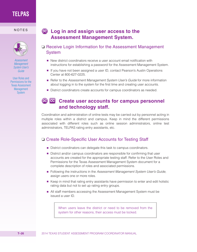

*Assessment Management [System User's](http://www.TexasAssessment.com/guide)  Guide*

User Roles and [Permissions for the](http://www.TexasAssessment.com/roles)  Texas Assessment **Management System** 

## NOTES **Log in and assign user access to the Assessment Management System.**

- ❏ Receive Login Information for the Assessment Management System
	- New district coordinators receive a user account email notification with instructions for establishing a password for the Assessment Management System.
	- If you have not been assigned a user ID, contact Pearson's Austin Operations Center at 800-627-0225.
	- Refer to the *Assessment Management System User's Guide* for more information about logging in to the system for the first time and creating user accounts.
	- District coordinators create accounts for campus coordinators as needed.

## **De ce** Create user accounts for campus personnel **and technology staff.**

Coordination and administration of online tests may be carried out by personnel acting in multiple roles within a district and campus. Keep in mind the different permissions associated with different roles such as online session administrators, online test administrators, TELPAS rating entry assistants, etc.

### ❏ Create Role-Specific User Accounts for Testing Staff

- District coordinators can delegate this task to campus coordinators.
- District and/or campus coordinators are responsible for confirming that user accounts are created for the appropriate testing staff. Refer to the User Roles and Permissions for the Texas Assessment Management System document for a complete description of roles and associated permissions.
- Following the instructions in the *Assessment Management System User's Guide*, assign users one or more roles.
- Keep in mind that rating entry assistants have permission to enter and edit holistic rating data but not to set up rating entry groups.
- All staff members accessing the Assessment Management System must be issued a user ID.

When users leave the district or need to be removed from the system for other reasons, their access must be locked.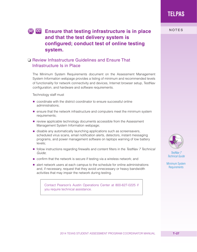#### 2014 TEXAS STUDENT ASSESSMENT PROGRAM COORDINATOR MANUAL **T–27**

# **TELPAS**

# **DOCE IS ENSURE THAT THE ENSURE THAT THE END TO THE STATE STATES and that the test delivery system is configured; conduct test of online testing system.**

## ❏ Review Infrastructure Guidelines and Ensure That Infrastructure Is in Place

The Minimum System Requirements document on the Assessment Management System Information webpage provides a listing of minimum and recommended levels of functionality for network connectivity and devices, Internet browser setup, TestNav configuration, and hardware and software requirements.

Technology staff must

- coordinate with the district coordinator to ensure successful online administrations;
- ensure that the network infrastructure and computers meet the minimum system requirements;
- review applicable technology documents accessible from the Assessment Management System Information webpage;
- disable any automatically launching applications such as screensavers, scheduled virus scans, email notification alerts, detectors, instant messaging programs, and power management software on laptops warning of low battery levels;
- follow instructions regarding firewalls and content filters in the *TestNav 7 Technical Guide*;
- confirm that the network is secure if testing via a wireless network; and
- alert network users at each campus to the schedule for online administrations and, if necessary, request that they avoid unnecessary or heavy bandwidth activities that may impair the network during testing.

Contact Pearson's Austin Operations Center at 800-627-0225 if you require technical assistance.



*TestNav 7 [Technical Guide](http://www.TexasAssessment.com/techinfo)*

[Minimum System](http://www.TexasAssessment.com/techinfo)  Requirements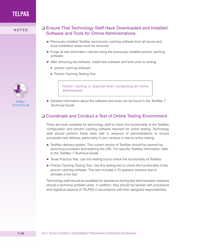

NOTES **Q** Ensure That Technology Staff Have Downloaded and Installed Software and Tools for Online Administrations

- Previously installed TestNav and proctor caching software from all server and local installation areas must be removed.
- Purge all test information cached using the previously installed proctor caching software.
- After removing old software, install new software and tools prior to testing:
	- proctor caching software
	- Proctor Caching Testing Tool

Proctor caching is required when conducting an online administration.

■ Detailed information about the software and tools can be found in the *TestNav* 7 *Technical Guide*.

## ❏ Coordinate and Conduct a Test of Online Testing Environment

There are tools available for technology staff to check the functionality of the TestNav configuration and proctor caching software required for online testing. Technology staff should perform these tests well in advance of administrations to ensure successful test delivery, particularly if your campus is new to online testing.

- TestNav delivery system. The current version of TestNav should be opened by launching a browser and entering the URL. For specific TestNav information, refer to the *TestNav 7 Technical Guide*.
- Texas Practice Test. Use this testing tool to check the functionality of TestNav.
- Proctor Caching Testing Tool. Use this testing tool to check the functionality of the proctor caching software. This test includes a 70-question practice test to simulate a live test.

Technology staff should be available for assistance during test administration sessions should a technical problem arise. In addition, they should be familiar with procedural and logistical aspects of TELPAS in accordance with their assigned responsibilities.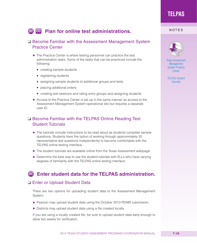# **De cell Plan for online test administrations.** NOTES

### ❏ Become Familiar with the Assessment Management System Practice Center

- The Practice Center is where testing personnel can practice the test administration tasks. Some of the tasks that can be practiced include the following:
	- creating sample students
	- registering students
	- assigning sample students to additional groups and tests
	- placing additional orders
	- creating test sessions and rating entry groups and assigning students
- Access to the Practice Center is set up in the same manner as access to the Assessment Management System operational site but requires a separate user ID.

### ❏ Become Familiar with the TELPAS Online Reading Test Student Tutorials

- The tutorials include instructions to be read aloud as students complete sample questions. Students have the option of working through approximately 20 representative test questions independently to become comfortable with the TELPAS online testing interface.
- The student tutorials are available online from the Texas Assessment webpage.
- Determine the best way to use the student tutorials with ELLs who have varying degrees of familiarity with the TELPAS online testing interface.

## **Enter student data for the TELPAS administration.**

#### ❏ Enter or Upload Student Data

There are two options for uploading student data to the Assessment Management System.

- Pearson may upload student data using the October 2013 PEIMS submission.
- Districts may upload student data using a file created locally.

If you are using a locally created file, be sure to upload student data early enough to allow two weeks for verification.

**TELPAS**



[Texas Assessment](http://www.TexasAssessment.com/practice)  **Management** System Practice **Center** 

[TELPAS Student](http://www.TexasAssessment.com/TELPAS-tutorials)  **Tutorials**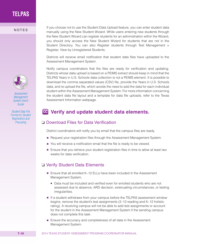

*Assessment Management [System User's](http://www.TexasAssessment.com/guide)  Guide* 

*Student Data File [Format for Student](https://www.google.com/url?sa=t&rct=j&q=&esrc=s&source=web&cd=1&ved=0CCsQFjAA&url=http%3A%2F%2Fwww.pearsonaccess.com%2Fcs%2FSatellite%3Fblobcol%3Durlblob%26blobheader%3Dapplication%252Fforce-download%26blobheadername1%3DContent-Disposition%26blobheadername2%3DContent-Transfer-Encoding%26blobheadervalue1%3Dattachment%253B%2Bfilename%253D%2522StudentFileFormat_2013-08-08%252C0.pdf%2522%26blobheadervalue2%3Dbinary%26blobkey%3Did%26blobtable%3DBinaryData%26blobwhere%3D1255055677718%26ssbinary%3Dtrue&ei=7RR9UojKLoamygG-w4GQBg&usg=AFQjCNHYPw6m2c0jTujgrCKEd9zz_4Pkcw&bvm=bv.56146854,d.aWc)  Registration and Precoding*

If you choose not to use the Student Data Upload feature, you can enter student data<br>
NOTES manually using the New Student Wizard. While users entering new students through the New Student Wizard can register students for an administration within the Wizard, you should only access the New Student Wizard for students that are not in the Student Directory. You can also Register students through Test Management > Register, View by Unregistered Students.

> Districts will receive email notification that student data files have uploaded to the Assessment Management System.

> Notify campus coordinators that the files are ready for verification and updating. Districts whose data upload is based on a PEIMS extract should keep in mind that the TELPAS Years in U.S. Schools data collection is not a PEIMS element. It is possible to download the comma separated values (CSV) file, provide the Years in U.S. Schools data, and re-upload the file, which avoids the need to add the data for each individual student within the Assessment Management System. For more information concerning the student data file layout and a template for data file uploads, refer to the Texas Assessment Information webpage.

## **Verify and update student data elements.**

#### ❏ Download Files for Data Verification

District coordinators will notify you by email that the campus files are ready.

- Request your registration files through the Assessment Management System.
- You will receive a notification email that the file is ready to be viewed.
- Ensure that you retrieve your student registration files in time to allow at least two weeks for data verification.

#### ❏ Verify Student Data Elements

- Ensure that all enrolled K–12 ELLs have been included in the Assessment Management System.
	- Data must be included and verified even for enrolled students who are not assessed due to absence, ARD decision, extenuating circumstances, or testing irregularities.
- If a student withdraws from your campus before the TELPAS assessment window begins, remove the student's test assignments (2–12 reading and K–12 holistic rating). A receiving campus will not be able to add test assignments or account for the student in the Assessment Management System if the sending campus does not complete this task.
- Ensure the accuracy and completeness of all data in the Assessment Management System.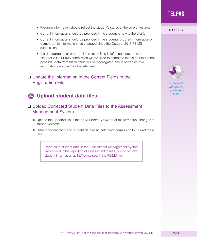- Program information should reflect the student's status at the time of testing.<br>NOTES
- Current information should be provided if the student is new to the district.
- Current information should be provided if the student's program information or demographic information has changed since the October 2013 PEIMS submission.
- If a demographic or program information field is left blank, data from the October 2013 PEIMS submission will be used to complete the field. If this is not possible, data from blank fields will be aggregated and reported as "No information provided" for that element.

## ❏ Update the Information in the Correct Fields in the Registration File

# **Upload student data files.**

### ❏ Upload Corrected Student Data Files to the Assessment Management System

- Upload the updated file in the *Send Student Data* tab or make manual changes to student records.
- District coordinators and student data assistants have permission to upload these files.

Updates to student data in the Assessment Management System are applied to the reporting of assessment results, but do not alter student information at TEA contained in the PEIMS file.

**TELPAS**



*Assessment Management [System User's](http://www.TexasAssessment.com/guide)  Guide*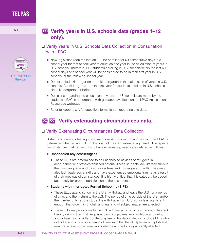

[LPAC Assessment](http://www.tea.state.tx.us/student.assessment/ell/lpac)  **Resources** 

## NOTES **Verify years in U.S. schools data (grades 1–12 only).**

### ❏ Verify Years in U.S. Schools Data Collection in Consultation with LPAC

- New legislation requires that an ELL be enrolled for 60 consecutive days in a school year for that school year to count as one year in the calculation of years in U.S. schools. Therefore, ELL students enrolling in U.S. schools within the last 60 school days of a school year will be considered to be in their first year in U.S. schools for the following school year.
- Do not include kindergarten or prekindergarten in the calculation of years in U.S. schools. Consider grade 1 as the first year for students enrolled in U.S. schools since kindergarten or before.
- Decisions regarding the calculation of years in U.S. schools are made by the students' LPAC in accordance with guidance available on the LPAC Assessment Resources webpage.
- Refer to Appendix A for specific information on recording this data.

# **De ce** Verify extenuating circumstances data.

#### ❏ Verify Extenuating Circumstances Data Collection

District and campus testing coordinators must work in conjunction with the LPAC to determine whether an ELL in the district has an extenuating need. The special circumstances that cause ELLs to have extenuating needs are defined as follows.

#### ■ **Unschooled Asylees/Refugees**

- These ELLs are determined to be unschooled asylees or refugees in accordance with state-established criteria. These students lack literacy skills in their first language and basic subject-matter knowledge and skills. They may also lack basic social skills and have experienced emotional trauma as a result of their previous circumstances. It is highly critical that this category be coded accurately for proper identification of these students.
- **Students with Interrupted Formal Schooling (SIFE)** 
	- These ELLs attend school in the U.S., withdraw and leave the U.S. for a period of time, and then return to the U.S. The period of time outside of the U.S. and/or the number of times the student is withdrawn from U.S. schools is significant enough that growth in English and learning of subject matter are affected.
	- These ELLs may also come to the U.S. with limited or no prior schooling. They lack literacy skills in their first language, basic subject-matter knowledge and skills, and/or basic social skills. For the purpose of this data collection, include ELLs who did not attend school for a period of time such that the ability to learn English and new grade level subject-matter knowledge and skills is significantly affected.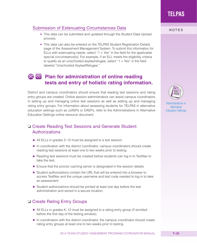## Submission of Extenuating Circumstances Data<br>NOTES

- This data can be submitted and updated through the Student Data Upload process.
- This data can also be entered on the TELPAS Student Registration Details page of the Assessment Management System. To submit this information for ELLs with extenuating needs, select " $1 = Yes$ " in the field for the applicable special circumstance(s). For example, if an ELL meets the eligibility criteria to qualify as an unschooled asylee/refugee, select " $1 = Yes$ " in the field labeled "Unschooled Asylee/Refugee."

## **Plan for administration of online reading tests and entry of holistic rating information.**

District and campus coordinators should ensure that reading test sessions and rating entry groups are created. Online session administrators can assist campus coordinators in setting up and managing online test sessions as well as setting up and managing rating entry groups. For information about assessing students for TELPAS in alternative education settings such as JJAEPs or DAEPs, refer to the Administrations in Alternative Education Settings online resource document.

### ❏ Create Reading Test Sessions and Generate Student Authorizations

- All ELLs in grades 2–12 must be assigned to a test session.
- In coordination with the district coordinator, campus coordinators should create reading test sessions at least one to two weeks prior to testing.
- Reading test sessions must be created before students can log in to TestNav to take the test.
- Ensure that the proctor caching server is designated in the session details.
- Student authorizations contain the URL that will be entered into a browser to access TestNav and the unique username and test code needed to log in to take an assessment.
- Student authorizations should be printed at least one day before the test administration and stored in a secure location.

## ❏ Create Rating Entry Groups

- All ELLs in grades K–12 must be assigned to a rating entry group (if enrolled before the first day of the testing window).
- In coordination with the district coordinator, the campus coordinator should create rating entry groups at least one to two weeks prior to testing.

**TELPAS**



[Administrations in](http://www.tea.state.tx.us/student.assessment/manuals/dccm)  **Alternative** Education Settings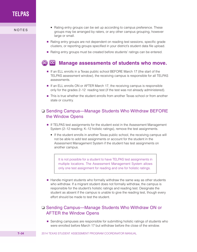- Rating entry groups can be set up according to campus preference. These groups may be arranged by raters, or any other campus grouping, however large or small.
	- Rating entry groups are not dependent on reading test sessions, specific grade clusters, or reporting groups specified in your district's student data file upload.
	- Rating entry groups must be created before students' ratings can be entered.

#### DC CC **Manage assessments of students who move.**

- If an ELL enrolls in a Texas public school BEFORE March 17 (the start of the TELPAS assessment window), the receiving campus is responsible for all TELPAS assessments.
- If an ELL enrolls ON or AFTER March 17, the receiving campus is responsible only for the grades 2–12 reading test (if the test was not already administered).
- This is true whether the student enrolls from another Texas school or from another state or country.

### ❏ Sending Campus—Manage Students Who Withdraw BEFORE the Window Opens

- If TELPAS test assignments for the student exist in the Assessment Management System (2–12 reading; K–12 holistic ratings), remove the test assignments.
	- If the student enrolls in another Texas public school, the receiving campus will not be able to add test assignments or account for the student in the Assessment Management System if the student has test assignments on another campus.

It is not possible for a student to have TELPAS test assignments in multiple locations. The Assessment Management System allows only one test assignment for reading and one for holistic ratings.

■ Handle migrant students who formally withdraw the same way as other students who withdraw. If a migrant student does not formally withdraw, the campus is responsible for the student's holistic ratings and reading test. Designate the student as absent if the campus is unable to give the reading test, though every effort should be made to test the student.

### ❏ Sending Campus—Manage Students Who Withdraw ON or AFTER the Window Opens

■ Sending campuses are responsible for submitting holistic ratings of students who were enrolled before March 17 but withdraw before the close of the window.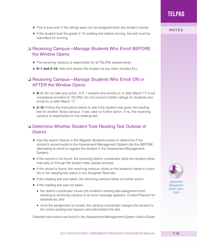- 
- If the reading test was taken, the receiving campus takes no further action.
- If the reading test was not taken,
	- the district coordinator moves the student's reading test assignment from sending to receiving campus (if an error message appears, contact Pearson for assistance); and
	- once the assignment is moved, the campus coordinator assigns the student to the online reading test session and administers the test.

Detailed instructions are found in the *Assessment Management System User's Guide*.

#### ■ This is true even if the ratings were not yet assigned when the student moved.

■ If the student took the grade 2–12 reading test before moving, the test must be submitted for scoring.

### ❏ Receiving Campus—Manage Students Who Enroll BEFORE the Window Opens

- The receiving campus is responsible for all TELPAS assessments.
- **K-1 and 2-12:** Add and assess the student as any other enrolled ELL.

#### ❏ Receiving Campus—Manage Students Who Enroll ON or AFTER the Window Opens

- **K–1:** Do not take any action. A K–1 student who enrolls on or after March 17 is not considered enrolled for TELPAS. Do not conduct holistic ratings for students who enroll on or after March 17.
- **2–12:** Follow the instructions below to see if the student was given the reading test on another Texas campus. If yes, take no further action. If no, the receiving campus is responsible for the reading test.

### ❏ Determine Whether Student Took Reading Test Outside of **District**

- Use the search feature in the *Register Students* screen to determine if the student's record exists in the Assessment Management System (do this BEFORE attempting to enroll or register the student in the Assessment Management System).
- If the record is not found, the receiving district coordinator adds the student either manually or through the student data upload process.
- If the record is found, the receiving campus clicks on the student's name to check his or her reading test status in the *Assigned Tests* tab.
- 



*Assessment Management [System User's](http://www.TexasAssessment.com/guide)  Guide*

#### NOTES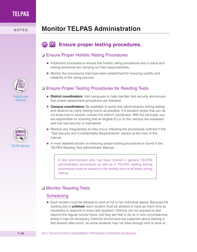# NOTES **Monitor TELPAS Administration**

#### DC CC **Ensure proper testing procedures.**

#### ❏ Ensure Proper Holistic Rating Procedures

- Implement processes to ensure that holistic rating procedures are in place and testing personnel are carrying out their responsibilities.
- Monitor the procedures that have been established for ensuring validity and reliability of the rating process.

### ❏ Ensure Proper Testing Procedures for Reading Tests

- **District coordinators:** Visit campuses to help maintain test security and ensure that proper assessment procedures are followed.
- **Campus coordinators:** Be available to assist test administrators during testing and observe as many testing rooms as possible. If a situation arises that you do not know how to resolve, contact the district coordinator. With the principal, you are responsible for ensuring that all eligible ELLs on the campus are assessed and that test security is maintained.
- Resolve any irregularities as they occur, following the procedures outlined in the "Test Security and Confidentiality Requirements" section at the front of this manual.
- A more detailed section on ensuring proper testing procedures is found in the *TELPAS Reading Test Administrator Manual.*

A test administrator who has been trained in general TELPAS administration procedures as well as in TELPAS reading testing procedures must be present in the testing room at all times during testing.

## ❏ Monitor Reading Tests

### **Scheduling**

■ Each student must be allowed to work at his or her individual speed. Because the reading test is **untimed**, each student must be allowed to have as much time as necessary to respond to every test question. Districts are not required to test beyond the regular school hours, but they are free to do so in rare circumstances where it may be necessary. Districts should exercise judgment about starting a test session after lunch, as some students may not have enough time to work at



[Problems and](http://www.tea.state.tx.us/student.assessment/manuals/dccm)  **Solutions** 

[TELPAS Manuals](http://www.tea.state.tx.us/student.assessment/ell/telpas/manuals)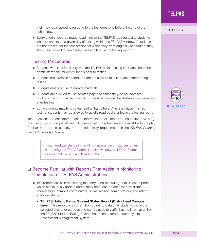their individual speed to respond to the test questions before the end of the<br>NOTES school day.

■ Every effort should be made to administer the TELPAS reading test to students who are absent on a given day of testing within the TELPAS window. If students are not present for the test session for which they were originally scheduled, they should be moved to another test session later in the testing window.

#### Testing Procedures

- Students who lack familiarity with the TELPAS online testing interface should be administered the student tutorials prior to testing.
- Students must remain seated and are not allowed to talk to each other during testing.
- Students must not use reference materials.
- Students are allowed to use scratch paper because they do not have test booklets in which to write notes. All scratch paper must be destroyed immediately after testing.
- Some students may finish a test earlier than others. After they have finished testing, students may be allowed to quietly read books or leave the testing room.

Test questions are considered secure information at all times. No unauthorized viewing, discussion, or scoring is allowed. All personnel in the test sessions must be thoroughly familiar with the test security and confidentiality requirements in the *TELPAS Reading Test Administrator Manual.*

> If you need assistance in handling unusual circumstances of any kind during the TELPAS administration window, call TEA's Student Assessment Division at 512-463-9536.

## ❏ Become Familiar with Reports That Assist in Monitoring Completion of TELPAS Administrations

- Two reports assist in monitoring the entry of holistic rating data. These reports, which continuously update and display data, can be accessed by district coordinators, campus coordinators, online session administrators, and rating entry assistants.
	- **TELPAS Holistic Rating Student Status Report (District and Campus Level).** This report lists current holistic rating data of all students within the selected district or campus and can be used to verify that the information from the TELPAS Student Rating Rosters has been entered accurately into the Assessment Management System.

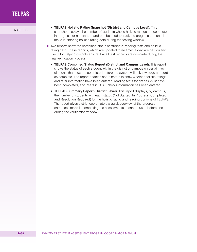- **NOTES ELPAS Holistic Rating Snapshot (District and Campus Level).** This **NOTES** snapshot displays the number of students whose holistic ratings are complete, in progress, or not started, and can be used to track the progress personnel make in entering holistic rating data during the testing window.
	- Two reports show the combined status of students' reading tests and holistic rating data. These reports, which are updated three times a day, are particularly useful for helping districts ensure that all test records are complete during the final verification process.
		- **TELPAS Combined Status Report (District and Campus Level).** This report shows the status of each student within the district or campus on certain key elements that must be completed before the system will acknowledge a record as complete. The report enables coordinators to know whether holistic ratings and rater information have been entered, reading tests for grades 2–12 have been completed, and Years in U.S. Schools information has been entered.
		- **TELPAS Summary Report (District Level).** This report displays, by campus, the number of students with each status (Not Started, In Progress, Completed, and Resolution Required) for the holistic rating and reading portions of TELPAS. The report gives district coordinators a quick overview of the progress campuses make in completing the assessments. It can be used before and during the verification window.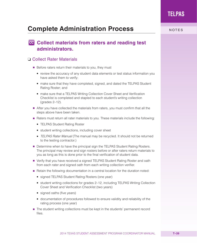# **Complete Administration Process NOTES**

## **CC** Collect materials from raters and reading test **administrators.**

### ❏ Collect Rater Materials

- Before raters return their materials to you, they must
	- review the accuracy of any student data elements or test status information you have asked them to verify;
	- make sure that they have completed, signed, and dated the TELPAS Student Rating Roster; and
	- make sure that a TELPAS Writing Collection Cover Sheet and Verification Checklist is completed and stapled to each student's writing collection (grades 2–12).
- After you have collected the materials from raters, you must confirm that all the steps above have been taken.
- Raters must return all rater materials to you. These materials include the following:
	- TELPAS Student Rating Roster
	- student writing collections, including cover sheet
	- TELPAS Rater Manual (The manual may be recycled. It should not be returned to the testing contractor.)
- Determine when to have the principal sign the TELPAS Student Rating Rosters. The principal may review and sign rosters before or after raters return materials to you as long as this is done prior to the final verification of student data.
- Verify that you have received a signed TELPAS Student Rating Roster and oath from each rater and signed oath from each writing collection verifier.
- Retain the following documentation in a central location for the duration noted:
	- signed TELPAS Student Rating Rosters (one year)
	- student writing collections for grades 2–12, including TELPAS Writing Collection Cover Sheet and Verification Checklist (two years)
	- signed oaths (five years)
	- documentation of procedures followed to ensure validity and reliability of the rating process (one year)
- The student writing collections must be kept in the students' permanent record files.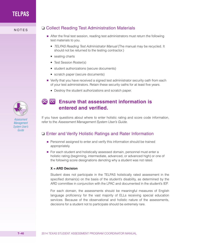

- After the final test session, reading test administrators must return the following test materials to you.
	- *TELPAS Reading Test Administrator Manual* (The manual may be recycled. It should not be returned to the testing contractor.)
	- seating charts
	- Test Session Roster(s)
	- student authorizations (secure documents)
	- scratch paper (secure documents)
- Verify that you have received a signed test administrator security oath from each of your test administrators. Retain these security oaths for at least five years.
	- Destroy the student authorizations and scratch paper.



*Assessment Management [System User's](http://www.TexasAssessment.com/guide)  Guide* 

## **De Co** Ensure that assessment information is **entered and verified.**

If you have questions about where to enter holistic rating and score code information, refer to the *Assessment Management System User's Guide*.

### ❏ Enter and Verify Holistic Ratings and Rater Information

- Personnel assigned to enter and verify this information should be trained appropriately.
- For each student and holistically assessed domain, personnel must enter a holistic rating (beginning, intermediate, advanced, or advanced high) or one of the following score designations denoting why a student was not rated.

#### **X = ARD Decision**

Student does not participate in the TELPAS holistically rated assessment in the specified domain(s) on the basis of the student's disability, as determined by the ARD committee in conjunction with the LPAC and documented in the student's IEP.

For each domain, the assessments should be meaningful measures of English language proficiency for the vast majority of ELLs receiving special education services. Because of the observational and holistic nature of the assessments, decisions for a student not to participate should be extremely rare.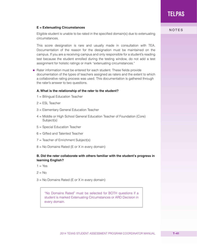## **E** = Extenuating Circumstances **E** = Extenuating Circumstances

Eligible student is unable to be rated in the specified domain(s) due to extenuating circumstances.

This score designation is rare and usually made in consultation with TEA. Documentation of the reason for the designation must be maintained on the campus. If you are a receiving campus and only responsible for a student's reading test because the student enrolled during the testing window, do not add a test assignment for holistic ratings or mark "extenuating circumstances."

■ Rater information must be entered for each student. These fields provide documentation of the types of teachers assigned as raters and the extent to which a collaborative rating process was used. This documentation is gathered through the rater's answer to two questions.

#### **A. What is the relationship of the rater to the student?**

- 1 = Bilingual Education Teacher
- 2 = ESL Teacher
- 3 = Elementary General Education Teacher
- 4 = Middle or High School General Education Teacher of Foundation (Core) Subject(s)
- 5 = Special Education Teacher
- 6 = Gifted and Talented Teacher
- 7 = Teacher of Enrichment Subject(s)
- 8 = No Domains Rated (E or X in every domain)

#### **B. Did the rater collaborate with others familiar with the student's progress in learning English?**

- $1 = Yes$
- $2 = No$
- 3 = No Domains Rated (E or X in every domain)

"No Domains Rated" must be selected for BOTH questions if a student is marked Extenuating Circumstances or ARD Decision in every domain.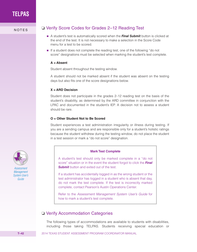## NOTES Q Verify Score Codes for Grades 2-12 Reading Test

- A student's test is automatically scored when the **Final Submit** button is clicked at the end of the test. It is not necessary to make a selection in the Score Code menu for a test to be scored.
- If a student does not complete the reading test, one of the following "do not score" designations must be selected when marking the student's test complete.

#### **A = Absent**

Student absent throughout the testing window.

A student should not be marked absent if the student was absent on the testing days but also fits one of the score designations below.

#### **X = ARD Decision**

Student does not participate in the grades 2–12 reading test on the basis of the student's disability, as determined by the ARD committee in conjunction with the LPAC and documented in the student's IEP. A decision not to assess a student should be rare.

#### **O = Other Student Not to Be Scored**

Student experiences a test administration irregularity or illness during testing. If you are a sending campus and are responsible only for a student's holistic ratings because the student withdrew during the testing window, do not place the student in a test session or mark a "do not score" designation.

#### **Mark Test Complete**

A student's test should only be marked complete in a "do not score" situation or in the event the student forgot to click the *Final*  **Submit** button and exited out of the test.

If a student has accidentally logged in as the wrong student or the test administrator has logged in a student who is absent that day, do not mark the test complete. If the test is incorrectly marked complete, contact Pearson's Austin Operations Center.

Refer to the *Assessment Management System User's Guide* for how to mark a student's test complete.

#### ❏ Verify Accommodation Categories

The following types of accommodations are available to students with disabilities, including those taking TELPAS. Students receiving special education or



*Assessment Management [System User's](http://www.TexasAssessment.com/guide)  Guide*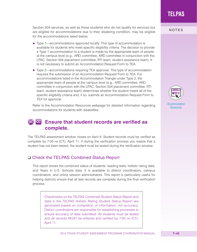2014 TEXAS STUDENT ASSESSMENT PROGRAM COORDINATOR MANUAL **T–43**

**TELPAS**

Section 504 services, as well as those students who do not qualify for services but<br>NOTES are eligible for accommodations due to their disabling condition, may be eligible for the accommodations listed below.

- Type 1—accommodations approved locally. This type of accommodation is available for students who meet specific eligibility criteria. The decision to provide a Type 1 accommodation to a student is made by the appropriate team of people at the campus level (e.g., ARD committee, ARD committee in conjunction with the LPAC, Section 504 placement committee, RTI team, student assistance team). It is not necessary to submit an Accommodation Request Form to TEA.
- Type 2—accommodations requiring TEA approval. This type of accommodation requires the submission of an Accommodation Request Form to TEA. For accommodations listed in the Accommodation Triangle under Type 2, the appropriate team of people at the campus level (e.g., ARD committee, ARD committee in conjunction with the LPAC, Section 504 placement committee, RTI team, student assistance team) determines whether the student meets all of the specific eligibility criteria and, if so, submits an Accommodation Request Form to TEA for approval.

Refer to the Accommodation Resources webpage for detailed information regarding accommodations for students with disabilities.

#### **Ensure that student records are verified as**  DC CC **complete.**

The TELPAS assessment window closes on April 9. Student records must be verified as complete by 7:00 pm (CT), April 11. If during the verification process you realize that a student has not been tested, the student must be tested during the verification window.

## ❏ Check the TELPAS Combined Status Report

This report shows the combined status of students' reading tests, holistic rating data, and Years in U.S. Schools data. It is available to district coordinators, campus coordinators, and online session administrators. This report is particularly useful for helping districts ensure that all test records are complete during the final verification process.

Checkmarks on the TELPAS Combined Student Status Report and data in the TELPAS Holistic Rating Student Status Report are generated based on completion of information, not accuracy. District coordinators are responsible for establishing processes to ensure accuracy of data submitted. All students must be tested and all records MUST be entered and verified by 7:00 pm (CT), April 11.



**Resources**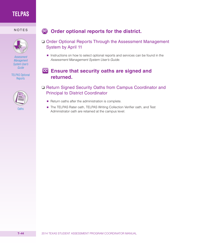

*Assessment Management [System User's](http://www.TexasAssessment.com/guide)  Guide*

[TELPAS Optional](http://www.TexasAssessment.com/report-info)  **Reports** 



## NOTES **Order optional reports for the district.**

- ❏ Order Optional Reports Through the Assessment Management System by April 11
	- Instructions on how to select optional reports and services can be found in the *Assessment Management System User's Guide*.

## **Ensure that security oaths are signed and returned.**

## ❏ Return Signed Security Oaths from Campus Coordinator and Principal to District Coordinator

- Return oaths after the administration is complete.
- The TELPAS Rater oath, TELPAS Writing Collection Verifier oath, and Test Administrator oath are retained at the campus level.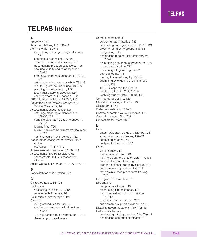# **TELPAS Index**

#### **A**

Absences, T42 Accommodations, T10, T42–43 Administering TELPAS assembling/verifying writing collections, T24 completing process of, T39–44 creating reading test sessions, T33 documenting procedures followed, T25 ensuring validity and reliability when, T24–25 entering/uploading student data, T29–30, T31 extenuating circumstances while, T32–33 monitoring procedures during, T36–38 planning for online testing, T29 test infrastructure in place for, T27 verifying years in U.S. schools, T32 ARD eligibility decisions, T4, T40, T42 *Assembling and Verifying Grades 2–12 Writing Collections*, T8 Assessment Management System entering/uploading student data for, T29–30, T31 handling extenuating circumstances in, T32–33 logging in to, T26 Minimum System Requirements document on, T27 verifying years in U.S. schools, T32 *Assessment Management System User's Guide* reviewing, T12, T15, T17 Assessment window dates, T3, T9, T43 Assessments. *See* Holistically rated assessments; TELPAS assessment window Austin Operations Center, T21, T26, T27, T42 **B** Bandwidth for online testing, T27

**C**

Calibrated raters, T6, T25 Calibration accessing third set, T7–8, T23 requirements for raters, T6 Calibration summary report, T22 **Campus** rating procedures for, T24–25 students who move or withdraw from, T34–35 TELPAS administration reports for, T37–38 *Also* Campus coordinators

Campus coordinators collecting rater materials, T39 conducting training sessions, T16–17, T21 creating rating entry groups, T33–34 designating, T13 designating reading test administrators, T20–21 maintaining document of procedures, T25 manuals received by, T13 monitoring rating training, T21–23 oath signed by, T16 reading test monitoring by, T36–37 submitting extenuating circumstances data, T33 TELPAS responsibilities for, T4 training of, T11–12, T14, T15–16 verifying student data, T30–31, T43 Certificates for training, T22 Checklist for writing collection, T39 Closing date, T43 Collecting materials, T39–40 Comma separated value (CSV) files, T30 Correcting student files, T31 Credentials for raters, T6–7

#### **D**

Data entering/uploading student, T29–30, T31 extenuating circumstances, T32–33 submitting student, T43 verifying U.S. schools, T32 **Dates** administration, T3 assessment window, T43 moving before, on, or after March 17, T35 online holistic rated training, T9 ordering optional reports by closing, T44 supplemental support training, T18 test administration procedures training, T19 Demographic information, T31 **Designating** campus coordinator, T13 extenuating circumstances, T41 raters and writing collection verifiers, T18–19 reading test administrators, T20 supplemental support provider, T17–18 Disability accommodations, T10, T42–43 District coordinators conducting training sessions, T14, T16–17 designating campus coordinator, T13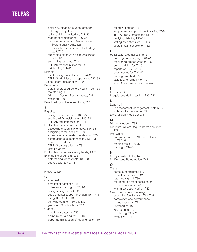entering/uploading student data for, T31 oath signed by, T12 rating training monitoring, T21–23 reading test monitoring, T36–37 receiving Assessment Management System passwords, T26 role-specific user accounts for testing staff, T26 submitting extenuating circumstances data, T33 submitting test data, T43 TELPAS responsibilities for, T4 training for, T11–12 **Districts** establishing procedures for, T24–25 TELPAS administration reports for, T37–38 "Do not score" designation, T42 **Documents** detailing procedures followed in, T25, T39 maintaining, T25 Minimum System Requirements, T27 retaining, T39 Downloading software and tools, T28

### **E**

**Eligibility** rating in all domains of, T6, T25 scoring ARD decisions on, T40, T42 TELPAS requirements for, T3–4 English language learners (ELLs) assessing students who move, T34–35 assigning to test session, T33 extenuating circumstances data for, T33 extenuating circumstances for, T32–33 newly enrolled, T4 TELPAS participation by, T3–4 *Also* Students English language proficiency levels, T3, T4 Extenuating circumstances determining for students, T32–33 score designating, T41

#### **F**

Firewalls, T27

#### **G**

Grades K–1 enrollment dates for, T35 online rater training for, T5, T6 rating writing for, T24, T25 supplemental support providers for, T7–8 using TELPAS for, T3 verifying data for, T30–31, T32 years in U.S. schools for, T32 Grades 2–12 enrollment dates for, T35 online rater training for, T5, T6 paper administration of reading tests, T10 rating writing for, T25 supplemental support providers for, T7–8 TELPAS requirements for, T3, T4 verifying data for, T30–31 writing collections for, T8, T24 years in U.S. schools for, T32

#### **H**

Holistically rated assessments entering and verifying, T40–41 monitoring procedures for, T36 online training for, T4–6 reports on, T37–38, T43 score codes for, T40–42 training flowchart, T5 validity and reliability of, T9 *Also* Online holistic rated training

#### **I**

Illnesses, T42 Irregularities during testing, T36, T42

#### **L**

Logging in to Assessment Management System, T26 to Texas TrainingCenter, T21 LPAC eligibility decisions, T4

#### **M**

Migrant students, T34 Minimum System Requirements document, T27 Monitoring completion of TELPAS procedures, T37–38 reading tests, T36–37 training, T21–23

#### **N**

Newly enrolled ELLs, T4 No Domains Rated option, T41

#### **O**

**Oaths** campus coordinator, T16 district coordinator, T12 retaining signed, T39 returning to district coordinator, T44 test administrator, T20 writing collection verifier, T20 Online holistic rated training becoming familiar with, T12, T15 completion and performance requirements, T22 flowchart of, T5 key dates for, T9 monitoring, T21–23 overview, T4–6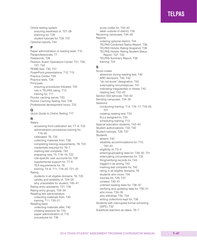Online testing system ensuring readiness of, T27–28 planning for, T29 student tutorials for, T29, T37 Optional reports, T44

#### **P**

Paper administration of reading tests, T10 Paraprofessionals, T7 Passwords, T26 Pearson Austin Operations Center, T21, T26, T27, T42 PEIMS files, T30, T31 PowerPoint presentations, T12, T15 Practice Center, T29 Practice tests, T28 Principals ensuring procedures followed, T25 role in TELPAS rating, T13 training for, T11 Proctor caching server, T33 Proctor Caching Testing Tool, T28 Professional development hours, T22

#### **Q**

*Quick Guide to Online Testing*, T17

#### **R**

Raters accessing third calibration set, T7–8, T23 administration procedures training for, T19–20 calibrated, T6, T25 collecting materials from, T39 completing training requirements, T9, T22 credentials required for, T6–7 marking test complete, T42 preparing new, T5, T18–19, T22 role-specific user accounts for, T26 supplemental support for, T7–8 TEA requirements for, T6 training, T4–6, T11, T18–20, T21–22 Rating students in all eligible domains, T6, T25 validity and reliability of, T24–25 why unavailable for student, T40–41 Rating entry assistants, T21, T26 Rating entry groups, T33–34 Reading test administrators collecting materials from, T40 training, T11, T20–21 Reading tests collecting materials after, T40 creating sessions for, T33 paper administration of, T10 procedures for, T36

score codes for, T42–43 taken outside of district, T35 Receiving campuses, T34–35 Reports ordering optional district, T44 TELPAS Combined Status Report, T38 TELPAS Holistic Rating Snapshot, T38 TELPAS Holistic Rating Student Status Report, T37, T43 TELPAS Summary Report, T38 training, T22

#### **S**

Score codes absences during reading test, T42 ARD decisions, T40, T42 "do not score" designation, T42 extenuating circumstances, T41 indicating irregularities or illness, T42 reading test, T42–43 Section 504 services, T42–43 Sending campuses, T34–35 Sessions conducting training, T14, T16–17, T18–20, T21 creating reading test, T33 ELLs assigned to, T33 scheduling training, T13 Special education students, T42–43 Student authorizations, T33, T40 Student tutorials, T29, T37 **Students** absent, T42 disability accommodations for, T10, T42–43 eligibility of, T3–4 entering/uploading data for, T29–30, T31 extenuating circumstances for, T32 filing/verifying records for, T43 logged in as wrong, T42 marking test complete for, T42 rating in all eligible domains, T6 students who move, T34 tutorials for, T29, T37 unrated, T40–41 untimed reading tests for, T36–37 verifying and updating data for, T30–31 who move, T34–35 who withdraw, T30, T34 writing collections kept for, T39 Students with interrupted formal schooling (SIFE), T32 Substitute teachers as raters, T6–7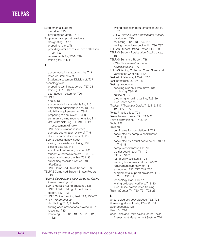Supplemental support model for, T23 providing for raters, T7–8 Supplemental support providers designating, T17–18 preparing raters, T8 providing rater access to third calibration set, T23 requirements for, T7–8, T18 training for, T11, T18

#### **T** TEA

accommodations approved by, T43 rater requirements of, T6 Student Assessment Division of, T37 Technology staff preparing test infrastructure, T27–28 training, T11, T16–17 user account setup for, T26 TELPAS about, T3 accommodations available for, T10 completing administration of, T39–44 eligibility requirements for, T3–4 preparing to administer, T24–35 summary training requirements for, T11 *Also* Administering TELPAS; TELPAS assessment window TELPAS administration resources campus coordinator review of, T15 district coordinator review of, T12 TELPAS assessment window asking for assistance during, T37 closing date for, T43 enrollment before, on, or after, T35 student withdrawals before, T30, T34 students who move within, T34–35 submitting records close of, T43 *Also* Dates TELPAS Combined Status Report, T38 TELPAS Combined Student Status Report, T43 *TELPAS Coordinator's User Guide for Online Holistic Training*, T21 TELPAS Holistic Rating Snapshot, T38 TELPAS Holistic Rating Student Status Report, T37, T43 TELPAS Online Reading Test, T29, T36–37 *TELPAS Rater Manual* distributing, T13, T19–20 finding accommodations allowed in, T10 recycling, T39

reviewing, T5, T12, T13, T15, T19, T20, T21

writing collection requirements found in, T8 *TELPAS Reading Test Administrator Manual* distributing, T20 reviewing, T12, T13, T15, T16 testing procedures outlined in, T36, T37 TELPAS Student Rating Roster, T13, T39 TELPAS Student Registration Details page, T33 TELPAS Summary Report, T38 *TELPAS Supplement for Paper Administrations*, T10 TELPAS Writing Collection Cover Sheet and Verification Checklist, T39 Test administrators, T20–21, T36 Test infrastructure, T27–28 Testing procedures handling students who move, T34 monitoring, T36–37 outline of, T36 preparing for online testing, T28–29 *Also* Score codes *TestNav 7 Technical Guide*, T12, T15, T17, T20, T27, T28 Texas Practice Test, T28 Texas TrainingCenter, T21, T22–23 Third calibration set, T7–8, T23 Tools, T28 **Training** certificates for completion of, T22 conducted by campus coordinator, T15–18, conducted by district coordinator, T13–14, T16–18 campus coordinator, T15–16 district coordinator, T11–12 raters, T18–20 rating entry assistants, T21 reading test administrators, T20–21 requirement summary for, T11 scheduling, T13, T17, T19, T20 supplemental support providers, T–8, T–14, T17–18 technology staff, T16–17 writing collection verifiers, T18–20 *Also* Online holistic rated training TrainingCenter, T4, T20, T21, T22–23

#### **U**

Unschooled asylees/refugees, T32, T33 Uploading student data, T29–30, T31 User accounts, T26 User IDs, T26 User Roles and Permissions for the Texas Assessment Management System, T26